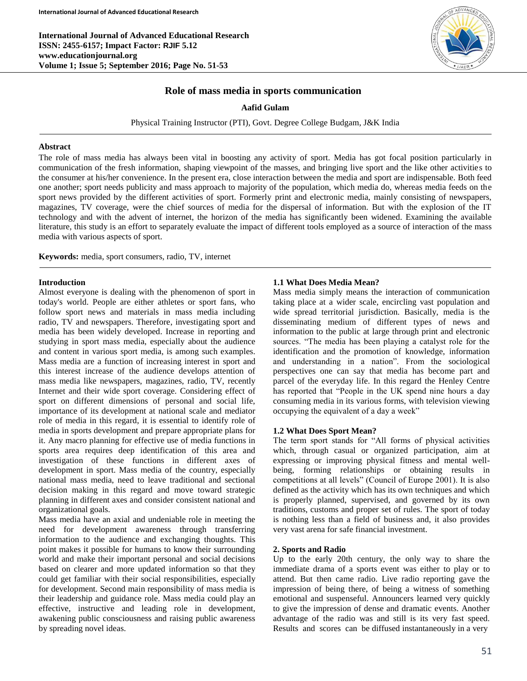

# **Role of mass media in sports communication**

**Aafid Gulam**

Physical Training Instructor (PTI), Govt. Degree College Budgam, J&K India

### **Abstract**

The role of mass media has always been vital in boosting any activity of sport. Media has got focal position particularly in communication of the fresh information, shaping viewpoint of the masses, and bringing live sport and the like other activities to the consumer at his/her convenience. In the present era, close interaction between the media and sport are indispensable. Both feed one another; sport needs publicity and mass approach to majority of the population, which media do, whereas media feeds on the sport news provided by the different activities of sport. Formerly print and electronic media, mainly consisting of newspapers, magazines, TV coverage, were the chief sources of media for the dispersal of information. But with the explosion of the IT technology and with the advent of internet, the horizon of the media has significantly been widened. Examining the available literature, this study is an effort to separately evaluate the impact of different tools employed as a source of interaction of the mass media with various aspects of sport.

**Keywords:** media, sport consumers, radio, TV, internet

# **Introduction**

Almost everyone is dealing with the phenomenon of sport in today's world. People are either athletes or sport fans, who follow sport news and materials in mass media including radio, TV and newspapers. Therefore, investigating sport and media has been widely developed. Increase in reporting and studying in sport mass media, especially about the audience and content in various sport media, is among such examples. Mass media are a function of increasing interest in sport and this interest increase of the audience develops attention of mass media like newspapers, magazines, radio, TV, recently Internet and their wide sport coverage. Considering effect of sport on different dimensions of personal and social life, importance of its development at national scale and mediator role of media in this regard, it is essential to identify role of media in sports development and prepare appropriate plans for it. Any macro planning for effective use of media functions in sports area requires deep identification of this area and investigation of these functions in different axes of development in sport. Mass media of the country, especially national mass media, need to leave traditional and sectional decision making in this regard and move toward strategic planning in different axes and consider consistent national and organizational goals.

Mass media have an axial and undeniable role in meeting the need for development awareness through transferring information to the audience and exchanging thoughts. This point makes it possible for humans to know their surrounding world and make their important personal and social decisions based on clearer and more updated information so that they could get familiar with their social responsibilities, especially for development. Second main responsibility of mass media is their leadership and guidance role. Mass media could play an effective, instructive and leading role in development, awakening public consciousness and raising public awareness by spreading novel ideas.

# **1.1 What Does Media Mean?**

Mass media simply means the interaction of communication taking place at a wider scale, encircling vast population and wide spread territorial jurisdiction. Basically, media is the disseminating medium of different types of news and information to the public at large through print and electronic sources. "The media has been playing a catalyst role for the identification and the promotion of knowledge, information and understanding in a nation". From the sociological perspectives one can say that media has become part and parcel of the everyday life. In this regard the Henley Centre has reported that "People in the UK spend nine hours a day consuming media in its various forms, with television viewing occupying the equivalent of a day a week"

### **1.2 What Does Sport Mean?**

The term sport stands for "All forms of physical activities which, through casual or organized participation, aim at expressing or improving physical fitness and mental wellbeing, forming relationships or obtaining results in competitions at all levels" (Council of Europe 2001). It is also defined as the activity which has its own techniques and which is properly planned, supervised, and governed by its own traditions, customs and proper set of rules. The sport of today is nothing less than a field of business and, it also provides very vast arena for safe financial investment.

### **2. Sports and Radio**

Up to the early 20th century, the only way to share the immediate drama of a sports event was either to play or to attend. But then came radio. Live radio reporting gave the impression of being there, of being a witness of something emotional and suspenseful. Announcers learned very quickly to give the impression of dense and dramatic events. Another advantage of the radio was and still is its very fast speed. Results and scores can be diffused instantaneously in a very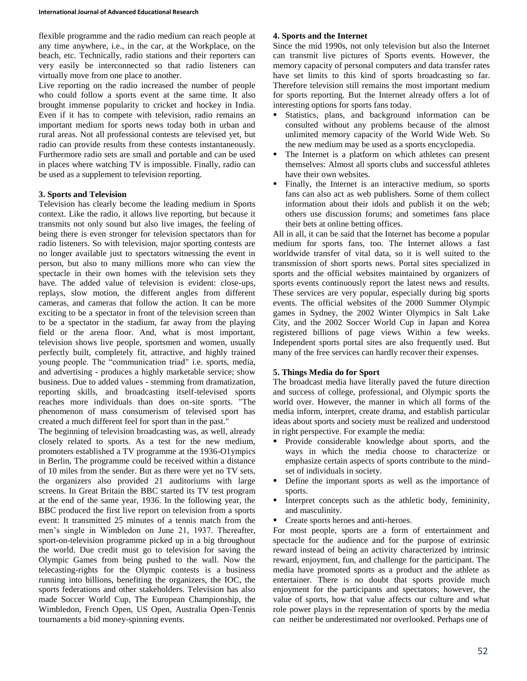flexible programme and the radio medium can reach people at any time anywhere, i.e., in the car, at the Workplace, on the beach, etc. Technically, radio stations and their reporters can very easily be interconnected so that radio listeners can virtually move from one place to another.

Live reporting on the radio increased the number of people who could follow a sports event at the same time. It also brought immense popularity to cricket and hockey in India. Even if it has to compete with television, radio remains an important medium for sports news today both in urban and rural areas. Not all professional contests are televised yet, but radio can provide results from these contests instantaneously. Furthermore radio sets are small and portable and can be used in places where watching TV is impossible. Finally, radio can be used as a supplement to television reporting.

### **3. Sports and Television**

Television has clearly become the leading medium in Sports context. Like the radio, it allows live reporting, but because it transmits not only sound but also live images, the feeling of being there is even stronger for television spectators than for radio listeners. So with television, major sporting contests are no longer available just to spectators witnessing the event in person, but also to many millions more who can view the spectacle in their own homes with the television sets they have. The added value of television is evident: close-ups, replays, slow motion, the different angles from different cameras, and cameras that follow the action. It can be more exciting to be a spectator in front of the television screen than to be a spectator in the stadium, far away from the playing field or the arena floor. And, what is most important, television shows live people, sportsmen and women, usually perfectly built, completely fit, attractive, and highly trained young people. The "communication triad" i.e. sports, media, and advertising - produces a highly marketable service; show business. Due to added values - stemming from dramatization, reporting skills, and broadcasting itself-televised sports reaches more individuals than does on-site sports. "The phenomenon of mass consumerism of televised sport has created a much different feel for sport than in the past."

The beginning of television broadcasting was, as well, already closely related to sports. As a test for the new medium, promoters established a TV programme at the 1936-O1ympics in Berlin, The programme could be received within a distance of 10 miles from the sender. But as there were yet no TV sets, the organizers also provided 21 auditoriums with large screens. In Great Britain the BBC started its TV test program at the end of the same year, 1936. In the following year, the BBC produced the first live report on television from a sports event: It transmitted 25 minutes of a tennis match from the men's single in Wimbledon on June 21, 1937. Thereafter, sport-on-television programme picked up in a big throughout the world. Due credit must go to television for saving the Olympic Games from being pushed to the wall. Now the telecasting-rights for the Olympic contests is a business running into billions, benefiting the organizers, the IOC, the sports federations and other stakeholders. Television has also made Soccer World Cup, The European Championship, the Wimbledon, French Open, US Open, Australia Open-Tennis tournaments a bid money-spinning events.

#### **4. Sports and the Internet**

Since the mid 1990s, not only television but also the Internet can transmit live pictures of Sports events. However, the memory capacity of personal computers and data transfer rates have set limits to this kind of sports broadcasting so far. Therefore television still remains the most important medium for sports reporting. But the Internet already offers a lot of interesting options for sports fans today.

- Statistics, plans, and background information can be consulted without any problems because of the almost unlimited memory capacity of the World Wide Web. So the new medium may be used as a sports encyclopedia.
- The Internet is a platform on which athletes can present themselves: Almost all sports clubs and successful athletes have their own websites.
- Finally, the Internet is an interactive medium, so sports fans can also act as web publishers. Some of them collect information about their idols and publish it on the web; others use discussion forums; and sometimes fans place their bets at online betting offices.

All in all, it can be said that the Internet has become a popular medium for sports fans, too. The Internet allows a fast worldwide transfer of vital data, so it is well suited to the transmission of short sports news. Portal sites specialized in sports and the official websites maintained by organizers of sports events continuously report the latest news and results. These services are very popular, especially during big sports events. The official websites of the 2000 Summer Olympic games in Sydney, the 2002 Winter Olympics in Salt Lake City, and the 2002 Soccer World Cup in Japan and Korea registered billions of page views Within a few weeks. Independent sports portal sites are also frequently used. But many of the free services can hardly recover their expenses.

#### **5. Things Media do for Sport**

The broadcast media have literally paved the future direction and success of college, professional, and Olympic sports the world over. However, the manner in which all forms of the media inform, interpret, create drama, and establish particular ideas about sports and society must be realized and understood in right perspective. For example the media:

- **Provide considerable knowledge about sports, and the** ways in which the media choose to characterize or emphasize certain aspects of sports contribute to the mindset of individuals in society.
- Define the important sports as well as the importance of sports.
- Interpret concepts such as the athletic body, femininity, and masculinity.
- Create sports heroes and anti-heroes.

For most people, sports are a form of entertainment and spectacle for the audience and for the purpose of extrinsic reward instead of being an activity characterized by intrinsic reward, enjoyment, fun, and challenge for the participant. The media have promoted sports as a product and the athlete as entertainer. There is no doubt that sports provide much enjoyment for the participants and spectators; however, the value of sports, how that value affects our culture and what role power plays in the representation of sports by the media can neither be underestimated nor overlooked. Perhaps one of